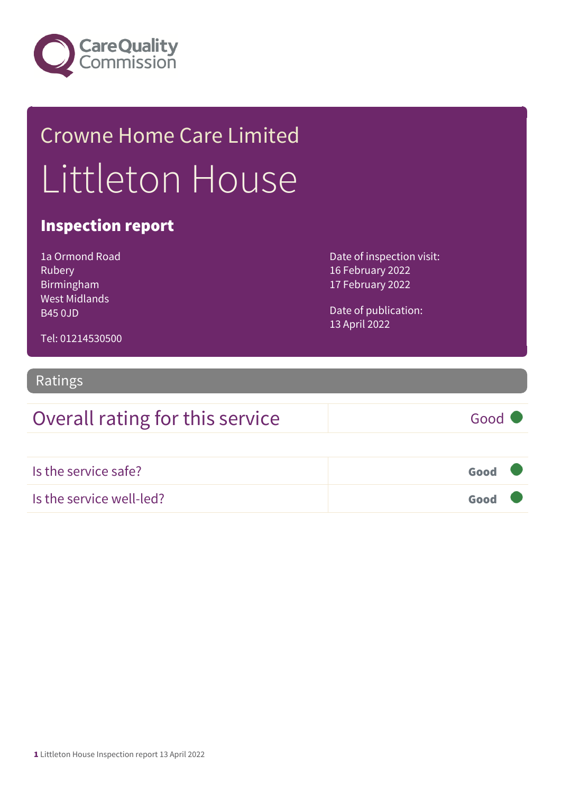

## Crowne Home Care Limited Littleton House

## Inspection report

1a Ormond Road Rubery Birmingham West Midlands B45 0JD

Date of inspection visit: 16 February 2022 17 February 2022

Date of publication: 13 April 2022

Tel: 01214530500

#### Ratings

| Overall rating for this service | Good $\bullet$ |
|---------------------------------|----------------|
| Is the service safe?            | Good <b>V</b>  |
| Is the service well-led?        | Good           |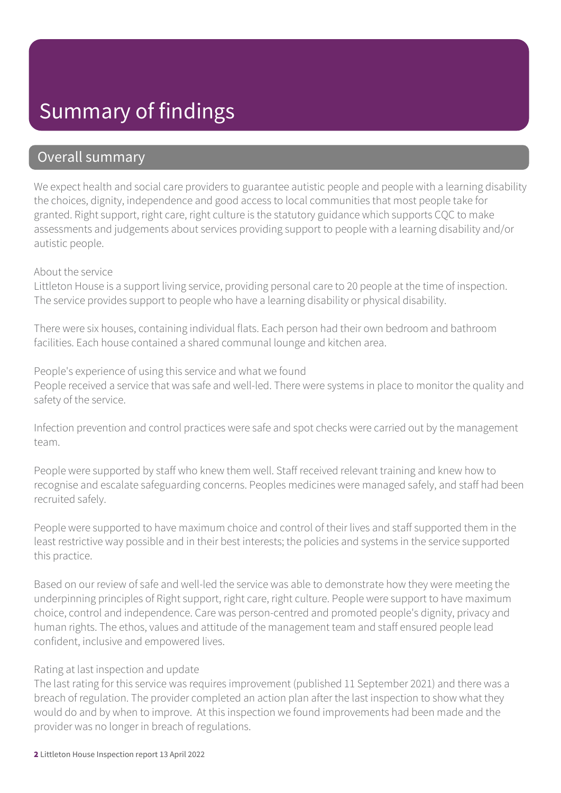## Summary of findings

#### Overall summary

We expect health and social care providers to guarantee autistic people and people with a learning disability the choices, dignity, independence and good access to local communities that most people take for granted. Right support, right care, right culture is the statutory guidance which supports CQC to make assessments and judgements about services providing support to people with a learning disability and/or autistic people.

#### About the service

Littleton House is a support living service, providing personal care to 20 people at the time of inspection. The service provides support to people who have a learning disability or physical disability.

There were six houses, containing individual flats. Each person had their own bedroom and bathroom facilities. Each house contained a shared communal lounge and kitchen area.

People's experience of using this service and what we found People received a service that was safe and well-led. There were systems in place to monitor the quality and safety of the service.

Infection prevention and control practices were safe and spot checks were carried out by the management team.

People were supported by staff who knew them well. Staff received relevant training and knew how to recognise and escalate safeguarding concerns. Peoples medicines were managed safely, and staff had been recruited safely.

People were supported to have maximum choice and control of their lives and staff supported them in the least restrictive way possible and in their best interests; the policies and systems in the service supported this practice.

Based on our review of safe and well-led the service was able to demonstrate how they were meeting the underpinning principles of Right support, right care, right culture. People were support to have maximum choice, control and independence. Care was person-centred and promoted people's dignity, privacy and human rights. The ethos, values and attitude of the management team and staff ensured people lead confident, inclusive and empowered lives.

#### Rating at last inspection and update

The last rating for this service was requires improvement (published 11 September 2021) and there was a breach of regulation. The provider completed an action plan after the last inspection to show what they would do and by when to improve. At this inspection we found improvements had been made and the provider was no longer in breach of regulations.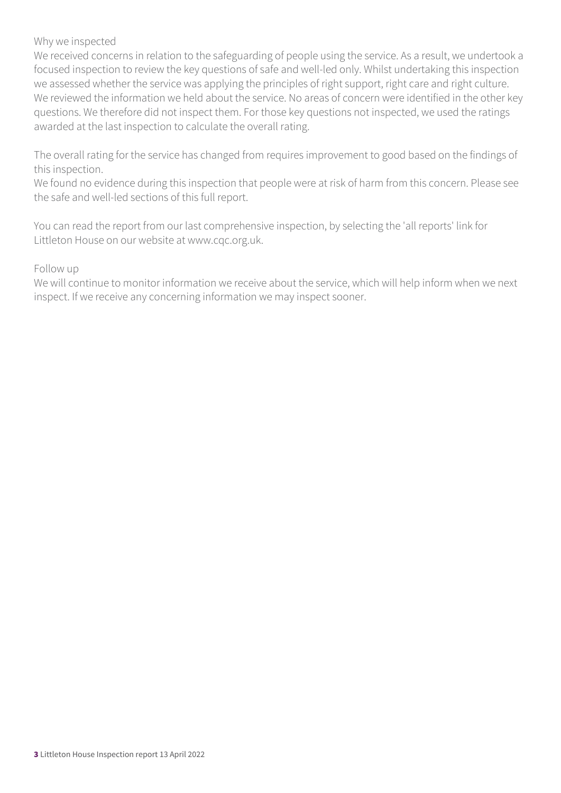#### Why we inspected

We received concerns in relation to the safeguarding of people using the service. As a result, we undertook a focused inspection to review the key questions of safe and well-led only. Whilst undertaking this inspection we assessed whether the service was applying the principles of right support, right care and right culture. We reviewed the information we held about the service. No areas of concern were identified in the other key questions. We therefore did not inspect them. For those key questions not inspected, we used the ratings awarded at the last inspection to calculate the overall rating.

The overall rating for the service has changed from requires improvement to good based on the findings of this inspection.

We found no evidence during this inspection that people were at risk of harm from this concern. Please see the safe and well-led sections of this full report.

You can read the report from our last comprehensive inspection, by selecting the 'all reports' link for Littleton House on our website at www.cqc.org.uk.

Follow up

We will continue to monitor information we receive about the service, which will help inform when we next inspect. If we receive any concerning information we may inspect sooner.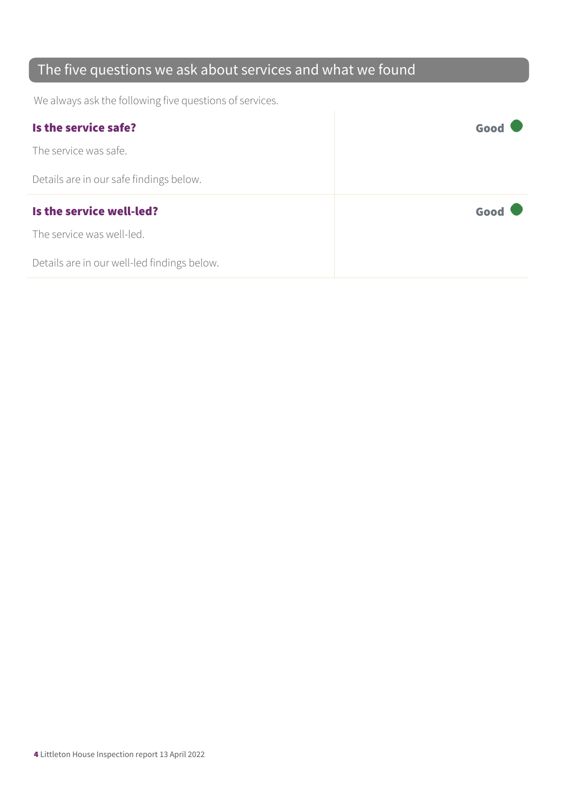## The five questions we ask about services and what we found

We always ask the following five questions of services.

| Is the service safe?                    | Good |
|-----------------------------------------|------|
| The service was safe.                   |      |
| Details are in our safe findings below. |      |
|                                         |      |
| Is the service well-led?                | Good |
| The service was well-led.               |      |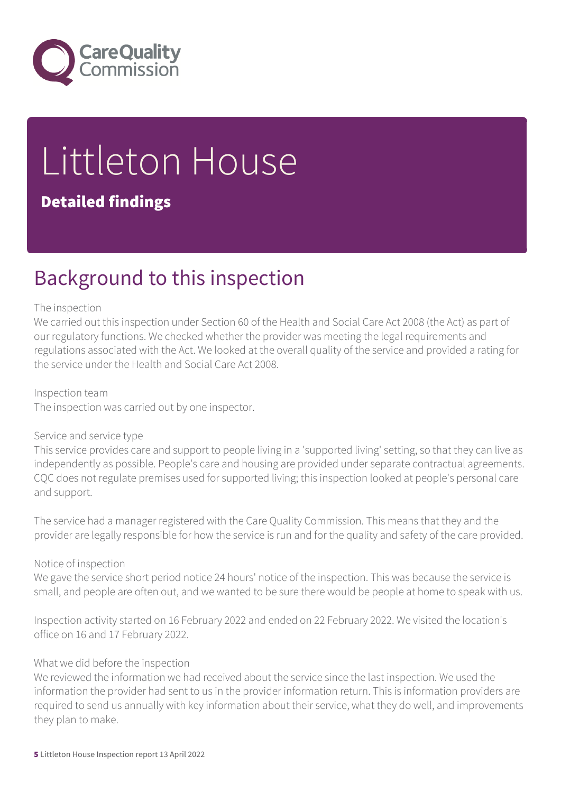

# Littleton House

### Detailed findings

## Background to this inspection

#### The inspection

We carried out this inspection under Section 60 of the Health and Social Care Act 2008 (the Act) as part of our regulatory functions. We checked whether the provider was meeting the legal requirements and regulations associated with the Act. We looked at the overall quality of the service and provided a rating for the service under the Health and Social Care Act 2008.

#### Inspection team

The inspection was carried out by one inspector.

#### Service and service type

This service provides care and support to people living in a 'supported living' setting, so that they can live as independently as possible. People's care and housing are provided under separate contractual agreements. CQC does not regulate premises used for supported living; this inspection looked at people's personal care and support.

The service had a manager registered with the Care Quality Commission. This means that they and the provider are legally responsible for how the service is run and for the quality and safety of the care provided.

#### Notice of inspection

We gave the service short period notice 24 hours' notice of the inspection. This was because the service is small, and people are often out, and we wanted to be sure there would be people at home to speak with us.

Inspection activity started on 16 February 2022 and ended on 22 February 2022. We visited the location's office on 16 and 17 February 2022.

#### What we did before the inspection

We reviewed the information we had received about the service since the last inspection. We used the information the provider had sent to us in the provider information return. This is information providers are required to send us annually with key information about their service, what they do well, and improvements they plan to make.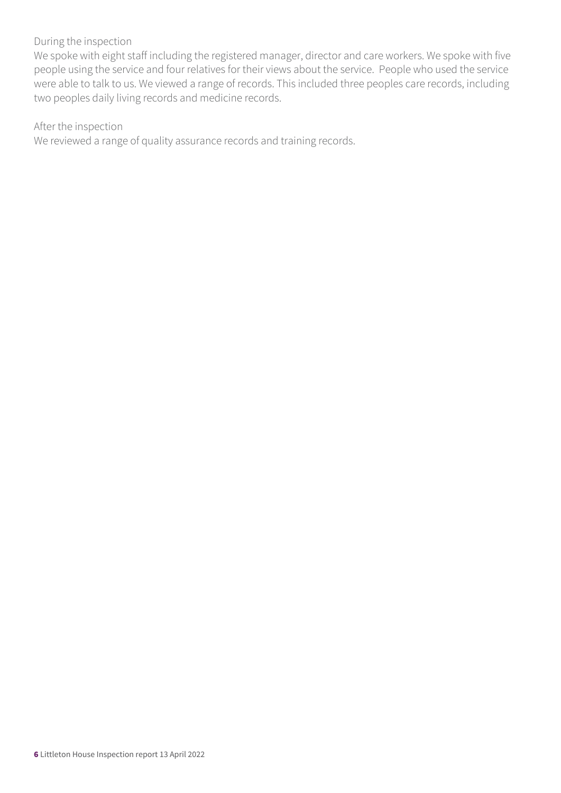#### During the inspection

We spoke with eight staff including the registered manager, director and care workers. We spoke with five people using the service and four relatives for their views about the service. People who used the service were able to talk to us. We viewed a range of records. This included three peoples care records, including two peoples daily living records and medicine records.

#### After the inspection

We reviewed a range of quality assurance records and training records.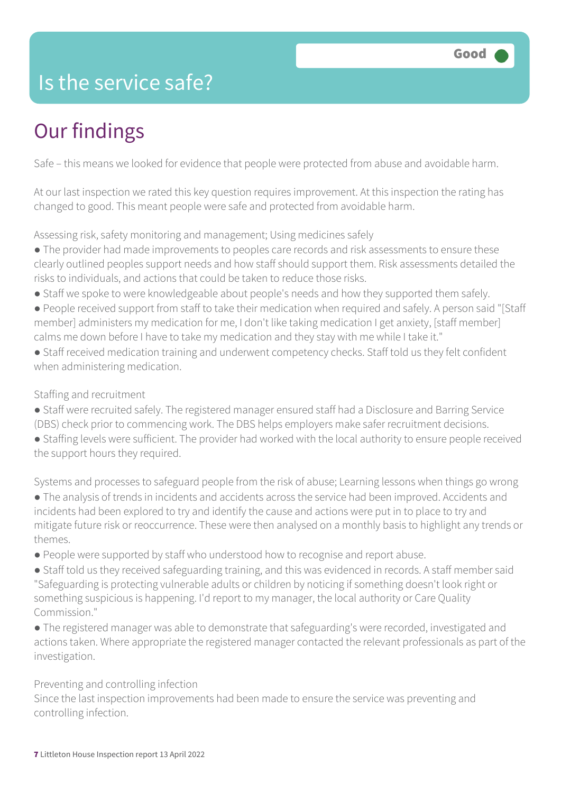## Is the service safe?

## Our findings

Safe – this means we looked for evidence that people were protected from abuse and avoidable harm.

At our last inspection we rated this key question requires improvement. At this inspection the rating has changed to good. This meant people were safe and protected from avoidable harm.

Assessing risk, safety monitoring and management; Using medicines safely

- The provider had made improvements to peoples care records and risk assessments to ensure these clearly outlined peoples support needs and how staff should support them. Risk assessments detailed the risks to individuals, and actions that could be taken to reduce those risks.
- Staff we spoke to were knowledgeable about people's needs and how they supported them safely.
- People received support from staff to take their medication when required and safely. A person said "[Staff member] administers my medication for me, I don't like taking medication I get anxiety, [staff member] calms me down before I have to take my medication and they stay with me while I take it."
- Staff received medication training and underwent competency checks. Staff told us they felt confident when administering medication.

#### Staffing and recruitment

- Staff were recruited safely. The registered manager ensured staff had a Disclosure and Barring Service (DBS) check prior to commencing work. The DBS helps employers make safer recruitment decisions.
- Staffing levels were sufficient. The provider had worked with the local authority to ensure people received the support hours they required.

Systems and processes to safeguard people from the risk of abuse; Learning lessons when things go wrong ● The analysis of trends in incidents and accidents across the service had been improved. Accidents and incidents had been explored to try and identify the cause and actions were put in to place to try and mitigate future risk or reoccurrence. These were then analysed on a monthly basis to highlight any trends or themes.

- People were supported by staff who understood how to recognise and report abuse.
- Staff told us they received safeguarding training, and this was evidenced in records. A staff member said "Safeguarding is protecting vulnerable adults or children by noticing if something doesn't look right or something suspicious is happening. I'd report to my manager, the local authority or Care Quality Commission."
- The registered manager was able to demonstrate that safeguarding's were recorded, investigated and actions taken. Where appropriate the registered manager contacted the relevant professionals as part of the investigation.

#### Preventing and controlling infection

Since the last inspection improvements had been made to ensure the service was preventing and controlling infection.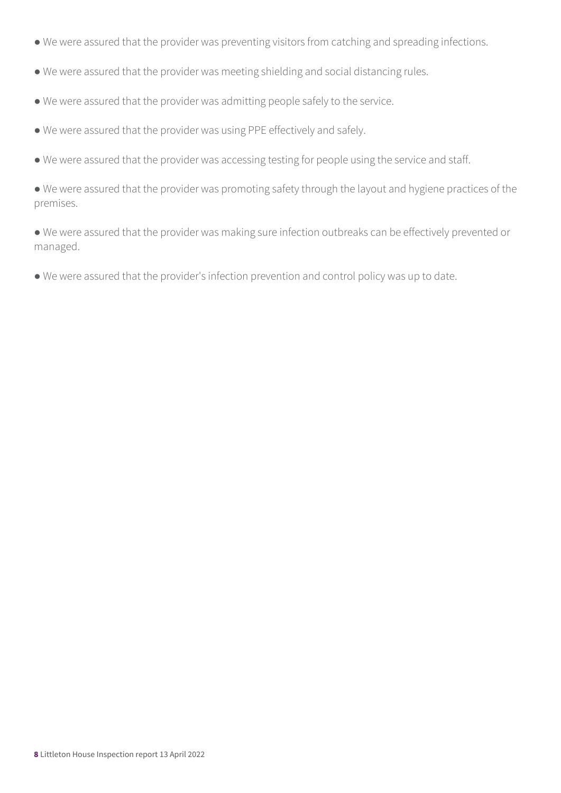- We were assured that the provider was preventing visitors from catching and spreading infections.
- We were assured that the provider was meeting shielding and social distancing rules.
- We were assured that the provider was admitting people safely to the service.
- We were assured that the provider was using PPE effectively and safely.
- We were assured that the provider was accessing testing for people using the service and staff.

● We were assured that the provider was promoting safety through the layout and hygiene practices of the premises.

● We were assured that the provider was making sure infection outbreaks can be effectively prevented or managed.

● We were assured that the provider's infection prevention and control policy was up to date.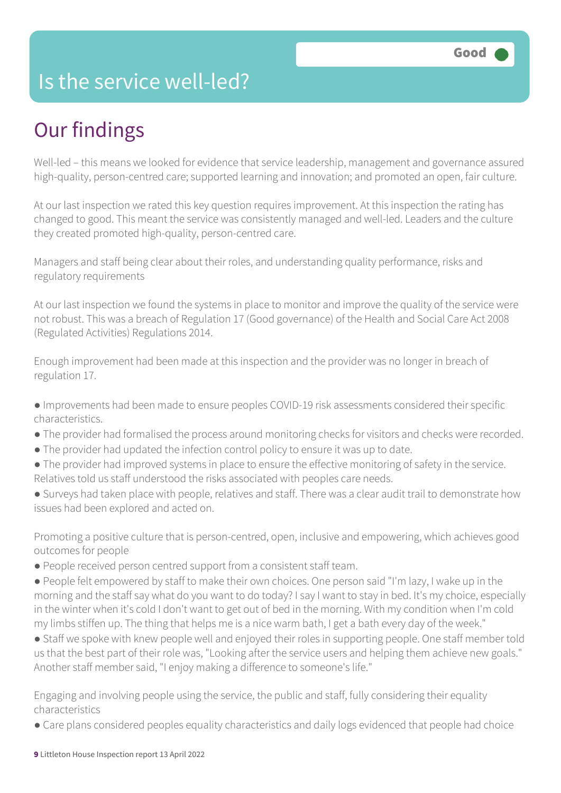## Is the service well-led?

## Our findings

Well-led – this means we looked for evidence that service leadership, management and governance assured high-quality, person-centred care; supported learning and innovation; and promoted an open, fair culture.

At our last inspection we rated this key question requires improvement. At this inspection the rating has changed to good. This meant the service was consistently managed and well-led. Leaders and the culture they created promoted high-quality, person-centred care.

Managers and staff being clear about their roles, and understanding quality performance, risks and regulatory requirements

At our last inspection we found the systems in place to monitor and improve the quality of the service were not robust. This was a breach of Regulation 17 (Good governance) of the Health and Social Care Act 2008 (Regulated Activities) Regulations 2014.

Enough improvement had been made at this inspection and the provider was no longer in breach of regulation 17.

- Improvements had been made to ensure peoples COVID-19 risk assessments considered their specific characteristics.
- The provider had formalised the process around monitoring checks for visitors and checks were recorded.
- The provider had updated the infection control policy to ensure it was up to date.
- The provider had improved systems in place to ensure the effective monitoring of safety in the service. Relatives told us staff understood the risks associated with peoples care needs.
- Surveys had taken place with people, relatives and staff. There was a clear audit trail to demonstrate how issues had been explored and acted on.

Promoting a positive culture that is person-centred, open, inclusive and empowering, which achieves good outcomes for people

- People received person centred support from a consistent staff team.
- People felt empowered by staff to make their own choices. One person said "I'm lazy, I wake up in the morning and the staff say what do you want to do today? I say I want to stay in bed. It's my choice, especially in the winter when it's cold I don't want to get out of bed in the morning. With my condition when I'm cold my limbs stiffen up. The thing that helps me is a nice warm bath, I get a bath every day of the week."
- Staff we spoke with knew people well and enjoyed their roles in supporting people. One staff member told us that the best part of their role was, "Looking after the service users and helping them achieve new goals." Another staff member said, "I enjoy making a difference to someone's life."

Engaging and involving people using the service, the public and staff, fully considering their equality characteristics

● Care plans considered peoples equality characteristics and daily logs evidenced that people had choice